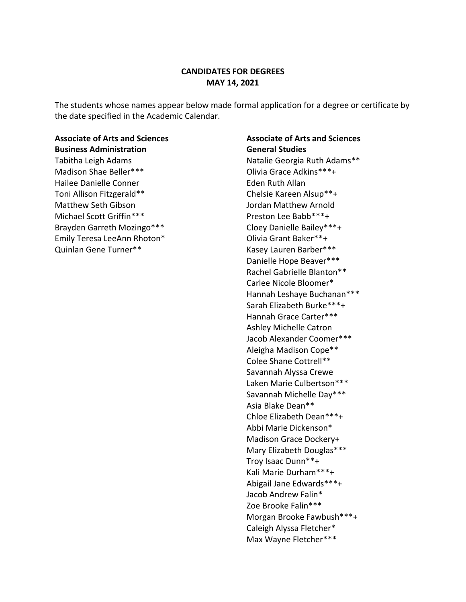## **CANDIDATES FOR DEGREES MAY 14, 2021**

The students whose names appear below made formal application for a degree or certificate by the date specified in the Academic Calendar.

# **Associate of Arts and Sciences Business Administration** Tabitha Leigh Adams Madison Shae Beller\*\*\* Hailee Danielle Conner Toni Allison Fitzgerald\*\* Matthew Seth Gibson Michael Scott Griffin\*\*\* Brayden Garreth Mozingo\*\*\* Emily Teresa LeeAnn Rhoton\* Quinlan Gene Turner\*\*

# **Associate of Arts and Sciences General Studies** Natalie Georgia Ruth Adams\*\* Olivia Grace Adkins\*\*\*+ Eden Ruth Allan Chelsie Kareen Alsup\*\*+ Jordan Matthew Arnold Preston Lee Babb\*\*\*+ Cloey Danielle Bailey\*\*\*+ Olivia Grant Baker\*\*+ Kasey Lauren Barber\*\*\* Danielle Hope Beaver\*\*\* Rachel Gabrielle Blanton\*\* Carlee Nicole Bloomer\* Hannah Leshaye Buchanan\*\*\* Sarah Elizabeth Burke\*\*\*+ Hannah Grace Carter\*\*\* Ashley Michelle Catron Jacob Alexander Coomer\*\*\* Aleigha Madison Cope\*\* Colee Shane Cottrell\*\* Savannah Alyssa Crewe Laken Marie Culbertson\*\*\* Savannah Michelle Day\*\*\* Asia Blake Dean\*\* Chloe Elizabeth Dean\*\*\*+ Abbi Marie Dickenson\* Madison Grace Dockery+ Mary Elizabeth Douglas\*\*\* Troy Isaac Dunn\*\*+ Kali Marie Durham\*\*\*+ Abigail Jane Edwards\*\*\*+ Jacob Andrew Falin\* Zoe Brooke Falin\*\*\* Morgan Brooke Fawbush\*\*\*+ Caleigh Alyssa Fletcher\* Max Wayne Fletcher\*\*\*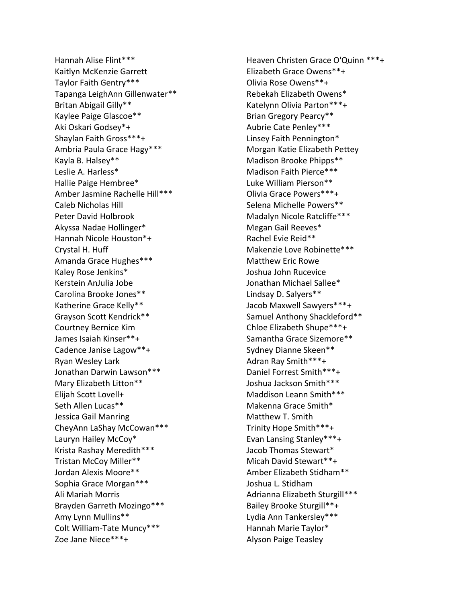Hannah Alise Flint\*\*\* Kaitlyn McKenzie Garrett Taylor Faith Gentry\*\*\* Tapanga LeighAnn Gillenwater\*\* Britan Abigail Gilly\*\* Kaylee Paige Glascoe\*\* Aki Oskari Godsey\*+ Shaylan Faith Gross\*\*\*+ Ambria Paula Grace Hagy\*\*\* Kayla B. Halsey\*\* Leslie A. Harless\* Hallie Paige Hembree\* Amber Jasmine Rachelle Hill\*\*\* Caleb Nicholas Hill Peter David Holbrook Akyssa Nadae Hollinger\* Hannah Nicole Houston\*+ Crystal H. Huff Amanda Grace Hughes\*\*\* Kaley Rose Jenkins\* Kerstein AnJulia Jobe Carolina Brooke Jones\*\* Katherine Grace Kelly\*\* Grayson Scott Kendrick\*\* Courtney Bernice Kim James Isaiah Kinser\*\*+ Cadence Janise Lagow\*\*+ Ryan Wesley Lark Jonathan Darwin Lawson\*\*\* Mary Elizabeth Litton\*\* Elijah Scott Lovell+ Seth Allen Lucas\*\* Jessica Gail Manring CheyAnn LaShay McCowan\*\*\* Lauryn Hailey McCoy\* Krista Rashay Meredith\*\*\* Tristan McCoy Miller\*\* Jordan Alexis Moore\*\* Sophia Grace Morgan\*\*\* Ali Mariah Morris Brayden Garreth Mozingo\*\*\* Amy Lynn Mullins\*\* Colt William-Tate Muncy\*\*\* Zoe Jane Niece\*\*\*+

Heaven Christen Grace O'Quinn \*\*\*+ Elizabeth Grace Owens\*\*+ Olivia Rose Owens\*\*+ Rebekah Elizabeth Owens\* Katelynn Olivia Parton\*\*\*+ Brian Gregory Pearcy\*\* Aubrie Cate Penley\*\*\* Linsey Faith Pennington\* Morgan Katie Elizabeth Pettey Madison Brooke Phipps\*\* Madison Faith Pierce\*\*\* Luke William Pierson\*\* Olivia Grace Powers\*\*\*+ Selena Michelle Powers\*\* Madalyn Nicole Ratcliffe\*\*\* Megan Gail Reeves\* Rachel Evie Reid\*\* Makenzie Love Robinette\*\*\* Matthew Eric Rowe Joshua John Rucevice Jonathan Michael Sallee\* Lindsay D. Salyers\*\* Jacob Maxwell Sawyers\*\*\*+ Samuel Anthony Shackleford\*\* Chloe Elizabeth Shupe\*\*\*+ Samantha Grace Sizemore\*\* Sydney Dianne Skeen\*\* Adran Ray Smith\*\*\*+ Daniel Forrest Smith\*\*\*+ Joshua Jackson Smith\*\*\* Maddison Leann Smith\*\*\* Makenna Grace Smith\* Matthew T. Smith Trinity Hope Smith\*\*\*+ Evan Lansing Stanley\*\*\*+ Jacob Thomas Stewart\* Micah David Stewart\*\*+ Amber Elizabeth Stidham\*\* Joshua L. Stidham Adrianna Elizabeth Sturgill\*\*\* Bailey Brooke Sturgill\*\*+ Lydia Ann Tankersley\*\*\* Hannah Marie Taylor\* Alyson Paige Teasley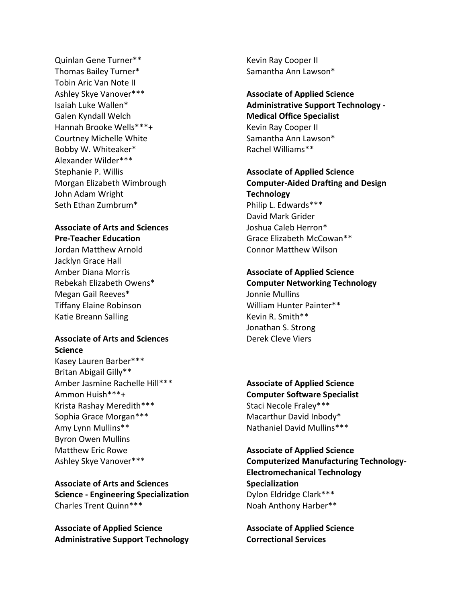Quinlan Gene Turner\*\* Thomas Bailey Turner\* Tobin Aric Van Note II Ashley Skye Vanover\*\*\* Isaiah Luke Wallen\* Galen Kyndall Welch Hannah Brooke Wells\*\*\*+ Courtney Michelle White Bobby W. Whiteaker\* Alexander Wilder\*\*\* Stephanie P. Willis Morgan Elizabeth Wimbrough John Adam Wright Seth Ethan Zumbrum\*

# **Associate of Arts and Sciences Pre-Teacher Education**

Jordan Matthew Arnold Jacklyn Grace Hall Amber Diana Morris Rebekah Elizabeth Owens\* Megan Gail Reeves\* Tiffany Elaine Robinson Katie Breann Salling

## **Associate of Arts and Sciences Science**

Kasey Lauren Barber\*\*\* Britan Abigail Gilly\*\* Amber Jasmine Rachelle Hill\*\*\* Ammon Huish\*\*\*+ Krista Rashay Meredith\*\*\* Sophia Grace Morgan\*\*\* Amy Lynn Mullins\*\* Byron Owen Mullins Matthew Eric Rowe Ashley Skye Vanover\*\*\*

**Associate of Arts and Sciences Science - Engineering Specialization** Charles Trent Quinn\*\*\*

**Associate of Applied Science Administrative Support Technology** Kevin Ray Cooper II Samantha Ann Lawson\*

**Associate of Applied Science Administrative Support Technology - Medical Office Specialist** Kevin Ray Cooper II Samantha Ann Lawson\* Rachel Williams\*\*

# **Associate of Applied Science Computer-Aided Drafting and Design Technology** Philip L. Edwards\*\*\*

David Mark Grider Joshua Caleb Herron\* Grace Elizabeth McCowan\*\* Connor Matthew Wilson

# **Associate of Applied Science**

**Computer Networking Technology** Jonnie Mullins William Hunter Painter\*\* Kevin R. Smith\*\* Jonathan S. Strong Derek Cleve Viers

**Associate of Applied Science Computer Software Specialist** Staci Necole Fraley\*\*\* Macarthur David Inbody\* Nathaniel David Mullins\*\*\*

**Associate of Applied Science Computerized Manufacturing Technology-Electromechanical Technology Specialization** Dylon Eldridge Clark\*\*\* Noah Anthony Harber\*\*

**Associate of Applied Science Correctional Services**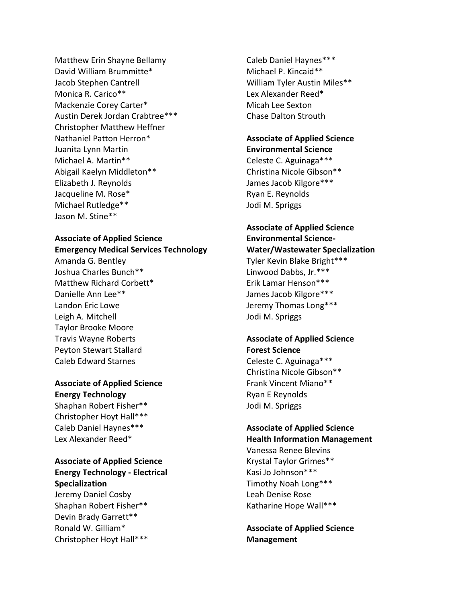Matthew Erin Shayne Bellamy David William Brummitte\* Jacob Stephen Cantrell Monica R. Carico\*\* Mackenzie Corey Carter\* Austin Derek Jordan Crabtree\*\*\* Christopher Matthew Heffner Nathaniel Patton Herron\* Juanita Lynn Martin Michael A. Martin\*\* Abigail Kaelyn Middleton\*\* Elizabeth J. Reynolds Jacqueline M. Rose\* Michael Rutledge\*\* Jason M. Stine\*\*

## **Associate of Applied Science Emergency Medical Services Technology** Amanda G. Bentley

Joshua Charles Bunch\*\* Matthew Richard Corbett\* Danielle Ann Lee\*\* Landon Eric Lowe Leigh A. Mitchell Taylor Brooke Moore Travis Wayne Roberts Peyton Stewart Stallard Caleb Edward Starnes

## **Associate of Applied Science Energy Technology**

Shaphan Robert Fisher\*\* Christopher Hoyt Hall\*\*\* Caleb Daniel Haynes\*\*\* Lex Alexander Reed\*

# **Associate of Applied Science Energy Technology - Electrical Specialization**

Jeremy Daniel Cosby Shaphan Robert Fisher\*\* Devin Brady Garrett\*\* Ronald W. Gilliam\* Christopher Hoyt Hall\*\*\* Caleb Daniel Haynes\*\*\* Michael P. Kincaid\*\* William Tyler Austin Miles\*\* Lex Alexander Reed\* Micah Lee Sexton Chase Dalton Strouth

#### **Associate of Applied Science Environmental Science**

Celeste C. Aguinaga\*\*\* Christina Nicole Gibson\*\* James Jacob Kilgore\*\*\* Ryan E. Reynolds Jodi M. Spriggs

## **Associate of Applied Science Environmental Science-Water/Wastewater Specialization**

Tyler Kevin Blake Bright\*\*\* Linwood Dabbs, Jr.\*\*\* Erik Lamar Henson\*\*\* James Jacob Kilgore\*\*\* Jeremy Thomas Long\*\*\* Jodi M. Spriggs

## **Associate of Applied Science Forest Science**

Celeste C. Aguinaga\*\*\* Christina Nicole Gibson\*\* Frank Vincent Miano\*\* Ryan E Reynolds Jodi M. Spriggs

# **Associate of Applied Science**

**Health Information Management** Vanessa Renee Blevins Krystal Taylor Grimes\*\* Kasi Jo Johnson\*\*\* Timothy Noah Long\*\*\* Leah Denise Rose Katharine Hope Wall\*\*\*

**Associate of Applied Science Management**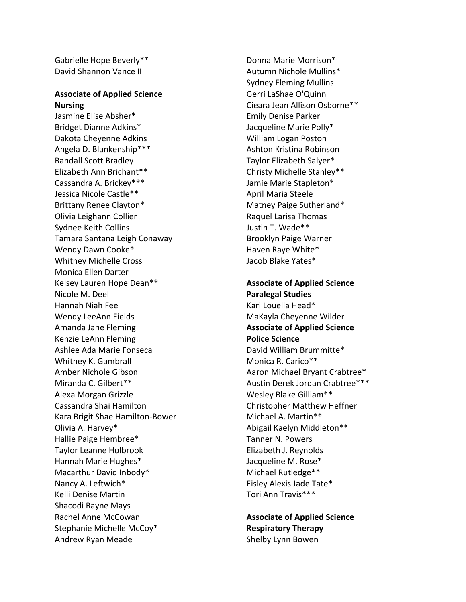Gabrielle Hope Beverly\*\* David Shannon Vance II

#### **Associate of Applied Science Nursing**

Jasmine Elise Absher\* Bridget Dianne Adkins\* Dakota Cheyenne Adkins Angela D. Blankenship\*\*\* Randall Scott Bradley Elizabeth Ann Brichant\*\* Cassandra A. Brickey\*\*\* Jessica Nicole Castle\*\* Brittany Renee Clayton\* Olivia Leighann Collier Sydnee Keith Collins Tamara Santana Leigh Conaway Wendy Dawn Cooke\* Whitney Michelle Cross Monica Ellen Darter Kelsey Lauren Hope Dean\*\* Nicole M. Deel Hannah Niah Fee Wendy LeeAnn Fields Amanda Jane Fleming Kenzie LeAnn Fleming Ashlee Ada Marie Fonseca Whitney K. Gambrall Amber Nichole Gibson Miranda C. Gilbert\*\* Alexa Morgan Grizzle Cassandra Shai Hamilton Kara Brigit Shae Hamilton-Bower Olivia A. Harvey\* Hallie Paige Hembree\* Taylor Leanne Holbrook Hannah Marie Hughes\* Macarthur David Inbody\* Nancy A. Leftwich\* Kelli Denise Martin Shacodi Rayne Mays Rachel Anne McCowan Stephanie Michelle McCoy\* Andrew Ryan Meade

Donna Marie Morrison\* Autumn Nichole Mullins\* Sydney Fleming Mullins Gerri LaShae O'Quinn Cieara Jean Allison Osborne\*\* Emily Denise Parker Jacqueline Marie Polly\* William Logan Poston Ashton Kristina Robinson Taylor Elizabeth Salyer\* Christy Michelle Stanley\*\* Jamie Marie Stapleton\* April Maria Steele Matney Paige Sutherland\* Raquel Larisa Thomas Justin T. Wade\*\* Brooklyn Paige Warner Haven Raye White\* Jacob Blake Yates\*

**Associate of Applied Science Paralegal Studies** Kari Louella Head\* MaKayla Cheyenne Wilder **Associate of Applied Science Police Science** David William Brummitte\* Monica R. Carico\*\* Aaron Michael Bryant Crabtree\* Austin Derek Jordan Crabtree\*\*\* Wesley Blake Gilliam\*\* Christopher Matthew Heffner Michael A. Martin\*\* Abigail Kaelyn Middleton\*\* Tanner N. Powers Elizabeth J. Reynolds Jacqueline M. Rose\* Michael Rutledge\*\* Eisley Alexis Jade Tate\* Tori Ann Travis\*\*\*

**Associate of Applied Science Respiratory Therapy** Shelby Lynn Bowen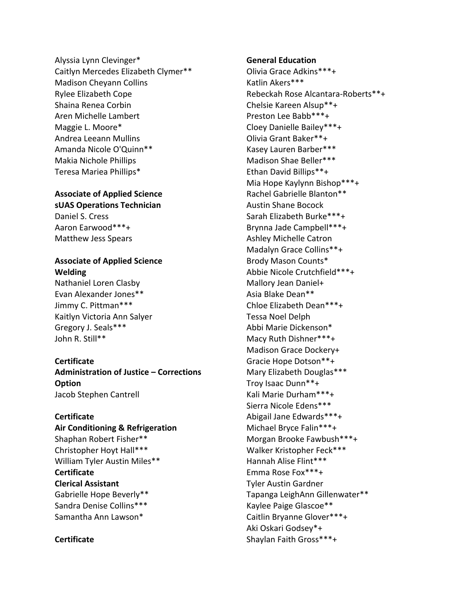Alyssia Lynn Clevinger\* Caitlyn Mercedes Elizabeth Clymer\*\* Madison Cheyann Collins Rylee Elizabeth Cope Shaina Renea Corbin Aren Michelle Lambert Maggie L. Moore\* Andrea Leeann Mullins Amanda Nicole O'Quinn\*\* Makia Nichole Phillips Teresa Mariea Phillips\*

#### **Associate of Applied Science sUAS Operations Technician**

Daniel S. Cress Aaron Earwood\*\*\*+ Matthew Jess Spears

# **Associate of Applied Science Welding**

Nathaniel Loren Clasby Evan Alexander Jones\*\* Jimmy C. Pittman\*\*\* Kaitlyn Victoria Ann Salyer Gregory J. Seals\*\*\* John R. Still\*\*

## **Certificate**

**Administration of Justice – Corrections Option** Jacob Stephen Cantrell

## **Certificate**

**Air Conditioning & Refrigeration** Shaphan Robert Fisher\*\* Christopher Hoyt Hall\*\*\* William Tyler Austin Miles\*\* **Certificate Clerical Assistant** Gabrielle Hope Beverly\*\* Sandra Denise Collins\*\*\* Samantha Ann Lawson\*

## **Certificate**

**General Education**

Olivia Grace Adkins\*\*\*+ Katlin Akers\*\*\* Rebeckah Rose Alcantara-Roberts\*\*+ Chelsie Kareen Alsup\*\*+ Preston Lee Babb\*\*\*+ Cloey Danielle Bailey\*\*\*+ Olivia Grant Baker\*\*+ Kasey Lauren Barber\*\*\* Madison Shae Beller\*\*\* Ethan David Billips\*\*+ Mia Hope Kaylynn Bishop\*\*\*+ Rachel Gabrielle Blanton\*\* Austin Shane Bocock Sarah Elizabeth Burke\*\*\*+ Brynna Jade Campbell\*\*\*+ Ashley Michelle Catron Madalyn Grace Collins\*\*+ Brody Mason Counts\* Abbie Nicole Crutchfield\*\*\*+ Mallory Jean Daniel+ Asia Blake Dean\*\* Chloe Elizabeth Dean\*\*\*+ Tessa Noel Delph Abbi Marie Dickenson\* Macy Ruth Dishner\*\*\*+ Madison Grace Dockery+ Gracie Hope Dotson\*\*+ Mary Elizabeth Douglas\*\*\* Troy Isaac Dunn\*\*+ Kali Marie Durham\*\*\*+ Sierra Nicole Edens\*\*\* Abigail Jane Edwards\*\*\*+ Michael Bryce Falin\*\*\*+ Morgan Brooke Fawbush\*\*\*+ Walker Kristopher Feck\*\*\* Hannah Alise Flint\*\*\* Emma Rose Fox\*\*\*+ Tyler Austin Gardner Tapanga LeighAnn Gillenwater\*\* Kaylee Paige Glascoe\*\* Caitlin Bryanne Glover\*\*\*+ Aki Oskari Godsey\*+ Shaylan Faith Gross\*\*\*+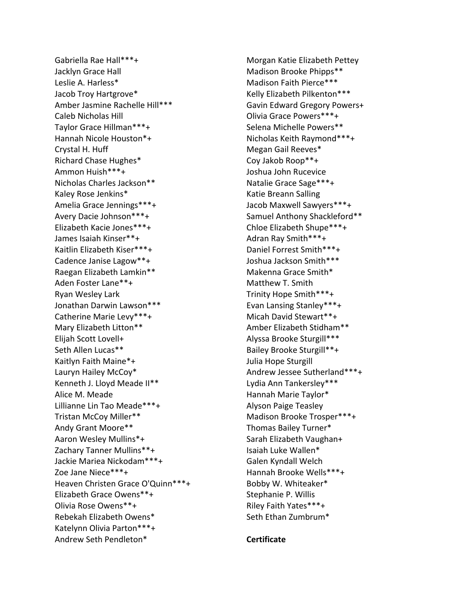Gabriella Rae Hall\*\*\*+ Jacklyn Grace Hall Leslie A. Harless\* Jacob Troy Hartgrove\* Amber Jasmine Rachelle Hill\*\*\* Caleb Nicholas Hill Taylor Grace Hillman\*\*\*+ Hannah Nicole Houston\*+ Crystal H. Huff Richard Chase Hughes\* Ammon Huish\*\*\*+ Nicholas Charles Jackson\*\* Kaley Rose Jenkins\* Amelia Grace Jennings\*\*\*+ Avery Dacie Johnson\*\*\*+ Elizabeth Kacie Jones\*\*\*+ James Isaiah Kinser\*\*+ Kaitlin Elizabeth Kiser\*\*\*+ Cadence Janise Lagow\*\*+ Raegan Elizabeth Lamkin\*\* Aden Foster Lane\*\*+ Ryan Wesley Lark Jonathan Darwin Lawson\*\*\* Catherine Marie Levy\*\*\*+ Mary Elizabeth Litton\*\* Elijah Scott Lovell+ Seth Allen Lucas\*\* Kaitlyn Faith Maine\*+ Lauryn Hailey McCoy\* Kenneth J. Lloyd Meade II\*\* Alice M. Meade Lillianne Lin Tao Meade\*\*\*+ Tristan McCoy Miller\*\* Andy Grant Moore\*\* Aaron Wesley Mullins\*+ Zachary Tanner Mullins\*\*+ Jackie Mariea Nickodam\*\*\*+ Zoe Jane Niece\*\*\*+ Heaven Christen Grace O'Quinn\*\*\*+ Elizabeth Grace Owens\*\*+ Olivia Rose Owens\*\*+ Rebekah Elizabeth Owens\* Katelynn Olivia Parton\*\*\*+ Andrew Seth Pendleton\*

Morgan Katie Elizabeth Pettey Madison Brooke Phipps\*\* Madison Faith Pierce\*\*\* Kelly Elizabeth Pilkenton\*\*\* Gavin Edward Gregory Powers+ Olivia Grace Powers\*\*\*+ Selena Michelle Powers\*\* Nicholas Keith Raymond\*\*\*+ Megan Gail Reeves\* Coy Jakob Roop\*\*+ Joshua John Rucevice Natalie Grace Sage\*\*\*+ Katie Breann Salling Jacob Maxwell Sawyers\*\*\*+ Samuel Anthony Shackleford\*\* Chloe Elizabeth Shupe\*\*\*+ Adran Ray Smith\*\*\*+ Daniel Forrest Smith\*\*\*+ Joshua Jackson Smith\*\*\* Makenna Grace Smith\* Matthew T. Smith Trinity Hope Smith\*\*\*+ Evan Lansing Stanley\*\*\*+ Micah David Stewart\*\*+ Amber Elizabeth Stidham\*\* Alyssa Brooke Sturgill\*\*\* Bailey Brooke Sturgill\*\*+ Julia Hope Sturgill Andrew Jessee Sutherland\*\*\*+ Lydia Ann Tankersley\*\*\* Hannah Marie Taylor\* Alyson Paige Teasley Madison Brooke Trosper\*\*\*+ Thomas Bailey Turner\* Sarah Elizabeth Vaughan+ Isaiah Luke Wallen\* Galen Kyndall Welch Hannah Brooke Wells\*\*\*+ Bobby W. Whiteaker\* Stephanie P. Willis Riley Faith Yates\*\*\*+ Seth Ethan Zumbrum\*

#### **Certificate**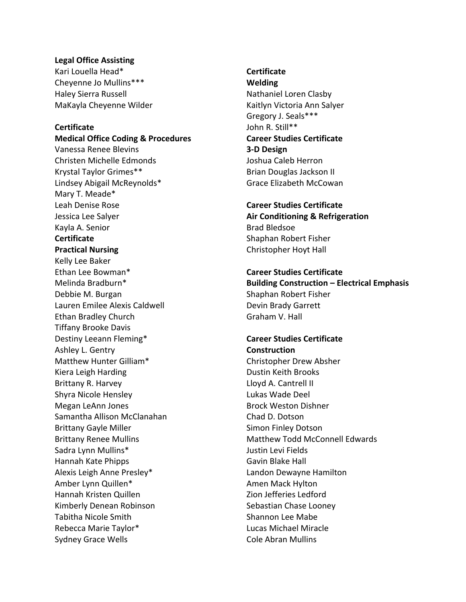#### **Legal Office Assisting**

Kari Louella Head\* Cheyenne Jo Mullins\*\*\* Haley Sierra Russell MaKayla Cheyenne Wilder

#### **Certificate**

**Medical Office Coding & Procedures** Vanessa Renee Blevins Christen Michelle Edmonds Krystal Taylor Grimes\*\* Lindsey Abigail McReynolds\* Mary T. Meade\* Leah Denise Rose Jessica Lee Salyer Kayla A. Senior **Certificate Practical Nursing** Kelly Lee Baker Ethan Lee Bowman\* Melinda Bradburn\* Debbie M. Burgan Lauren Emilee Alexis Caldwell Ethan Bradley Church Tiffany Brooke Davis Destiny Leeann Fleming\* Ashley L. Gentry Matthew Hunter Gilliam\* Kiera Leigh Harding Brittany R. Harvey Shyra Nicole Hensley Megan LeAnn Jones Samantha Allison McClanahan Brittany Gayle Miller Brittany Renee Mullins Sadra Lynn Mullins\* Hannah Kate Phipps Alexis Leigh Anne Presley\* Amber Lynn Quillen\* Hannah Kristen Quillen Kimberly Denean Robinson Tabitha Nicole Smith Rebecca Marie Taylor\* Sydney Grace Wells

# **Certificate**

**Welding** Nathaniel Loren Clasby Kaitlyn Victoria Ann Salyer Gregory J. Seals\*\*\* John R. Still\*\* **Career Studies Certificate 3-D Design** Joshua Caleb Herron Brian Douglas Jackson II Grace Elizabeth McCowan

**Career Studies Certificate Air Conditioning & Refrigeration** Brad Bledsoe Shaphan Robert Fisher Christopher Hoyt Hall

#### **Career Studies Certificate**

**Building Construction – Electrical Emphasis** Shaphan Robert Fisher Devin Brady Garrett Graham V. Hall

### **Career Studies Certificate Construction** Christopher Drew Absher

Dustin Keith Brooks Lloyd A. Cantrell II Lukas Wade Deel Brock Weston Dishner Chad D. Dotson Simon Finley Dotson Matthew Todd McConnell Edwards Justin Levi Fields Gavin Blake Hall Landon Dewayne Hamilton Amen Mack Hylton Zion Jefferies Ledford Sebastian Chase Looney Shannon Lee Mabe Lucas Michael Miracle Cole Abran Mullins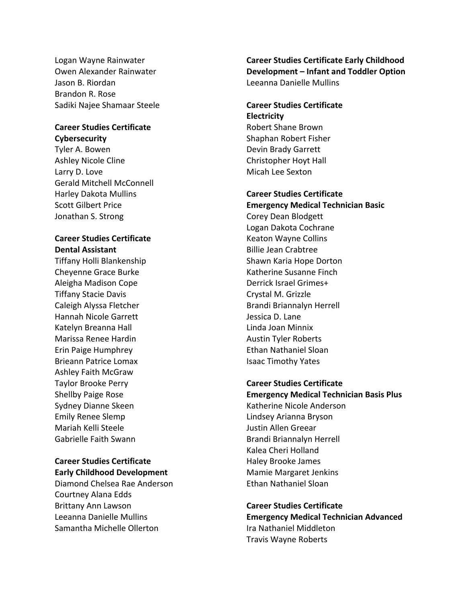Logan Wayne Rainwater Owen Alexander Rainwater Jason B. Riordan Brandon R. Rose Sadiki Najee Shamaar Steele

# **Career Studies Certificate**

**Cybersecurity** Tyler A. Bowen Ashley Nicole Cline Larry D. Love Gerald Mitchell McConnell Harley Dakota Mullins Scott Gilbert Price Jonathan S. Strong

## **Career Studies Certificate Dental Assistant**

Tiffany Holli Blankenship Cheyenne Grace Burke Aleigha Madison Cope Tiffany Stacie Davis Caleigh Alyssa Fletcher Hannah Nicole Garrett Katelyn Breanna Hall Marissa Renee Hardin Erin Paige Humphrey Brieann Patrice Lomax Ashley Faith McGraw Taylor Brooke Perry Shellby Paige Rose Sydney Dianne Skeen Emily Renee Slemp Mariah Kelli Steele Gabrielle Faith Swann

# **Career Studies Certificate Early Childhood Development**

Diamond Chelsea Rae Anderson Courtney Alana Edds Brittany Ann Lawson Leeanna Danielle Mullins Samantha Michelle Ollerton

**Career Studies Certificate Early Childhood Development – Infant and Toddler Option** Leeanna Danielle Mullins

# **Career Studies Certificate Electricity** Robert Shane Brown Shaphan Robert Fisher Devin Brady Garrett Christopher Hoyt Hall Micah Lee Sexton

## **Career Studies Certificate**

**Emergency Medical Technician Basic** Corey Dean Blodgett Logan Dakota Cochrane Keaton Wayne Collins Billie Jean Crabtree Shawn Karia Hope Dorton Katherine Susanne Finch Derrick Israel Grimes+ Crystal M. Grizzle Brandi Briannalyn Herrell Jessica D. Lane Linda Joan Minnix Austin Tyler Roberts Ethan Nathaniel Sloan Isaac Timothy Yates

## **Career Studies Certificate**

**Emergency Medical Technician Basis Plus** Katherine Nicole Anderson Lindsey Arianna Bryson Justin Allen Greear Brandi Briannalyn Herrell Kalea Cheri Holland Haley Brooke James Mamie Margaret Jenkins Ethan Nathaniel Sloan

**Career Studies Certificate Emergency Medical Technician Advanced** Ira Nathaniel Middleton Travis Wayne Roberts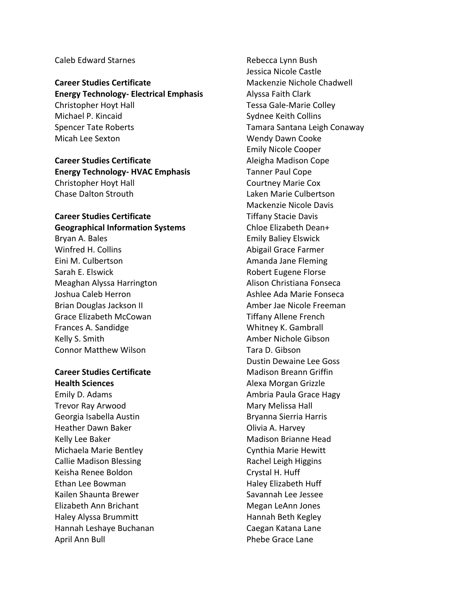#### Caleb Edward Starnes

**Career Studies Certificate Energy Technology- Electrical Emphasis** Christopher Hoyt Hall Michael P. Kincaid Spencer Tate Roberts Micah Lee Sexton

# **Career Studies Certificate Energy Technology- HVAC Emphasis** Christopher Hoyt Hall Chase Dalton Strouth

# **Career Studies Certificate Geographical Information Systems**

Bryan A. Bales Winfred H. Collins Eini M. Culbertson Sarah E. Elswick Meaghan Alyssa Harrington Joshua Caleb Herron Brian Douglas Jackson II Grace Elizabeth McCowan Frances A. Sandidge Kelly S. Smith Connor Matthew Wilson

#### **Career Studies Certificate Health Sciences**

Emily D. Adams Trevor Ray Arwood Georgia Isabella Austin Heather Dawn Baker Kelly Lee Baker Michaela Marie Bentley Callie Madison Blessing Keisha Renee Boldon Ethan Lee Bowman Kailen Shaunta Brewer Elizabeth Ann Brichant Haley Alyssa Brummitt Hannah Leshaye Buchanan April Ann Bull

Rebecca Lynn Bush Jessica Nicole Castle Mackenzie Nichole Chadwell Alyssa Faith Clark Tessa Gale-Marie Colley Sydnee Keith Collins Tamara Santana Leigh Conaway Wendy Dawn Cooke Emily Nicole Cooper Aleigha Madison Cope Tanner Paul Cope Courtney Marie Cox Laken Marie Culbertson Mackenzie Nicole Davis Tiffany Stacie Davis Chloe Elizabeth Dean+ Emily Baliey Elswick Abigail Grace Farmer Amanda Jane Fleming Robert Eugene Florse Alison Christiana Fonseca Ashlee Ada Marie Fonseca Amber Jae Nicole Freeman Tiffany Allene French Whitney K. Gambrall Amber Nichole Gibson Tara D. Gibson Dustin Dewaine Lee Goss Madison Breann Griffin Alexa Morgan Grizzle Ambria Paula Grace Hagy Mary Melissa Hall Bryanna Sierria Harris Olivia A. Harvey Madison Brianne Head Cynthia Marie Hewitt Rachel Leigh Higgins Crystal H. Huff Haley Elizabeth Huff Savannah Lee Jessee Megan LeAnn Jones Hannah Beth Kegley Caegan Katana Lane Phebe Grace Lane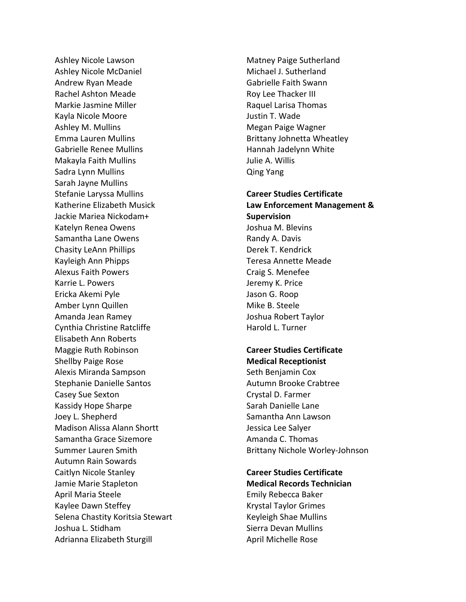Ashley Nicole Lawson Ashley Nicole McDaniel Andrew Ryan Meade Rachel Ashton Meade Markie Jasmine Miller Kayla Nicole Moore Ashley M. Mullins Emma Lauren Mullins Gabrielle Renee Mullins Makayla Faith Mullins Sadra Lynn Mullins Sarah Jayne Mullins Stefanie Laryssa Mullins Katherine Elizabeth Musick Jackie Mariea Nickodam+ Katelyn Renea Owens Samantha Lane Owens Chasity LeAnn Phillips Kayleigh Ann Phipps Alexus Faith Powers Karrie L. Powers Ericka Akemi Pyle Amber Lynn Quillen Amanda Jean Ramey Cynthia Christine Ratcliffe Elisabeth Ann Roberts Maggie Ruth Robinson Shellby Paige Rose Alexis Miranda Sampson Stephanie Danielle Santos Casey Sue Sexton Kassidy Hope Sharpe Joey L. Shepherd Madison Alissa Alann Shortt Samantha Grace Sizemore Summer Lauren Smith Autumn Rain Sowards Caitlyn Nicole Stanley Jamie Marie Stapleton April Maria Steele Kaylee Dawn Steffey Selena Chastity Koritsia Stewart Joshua L. Stidham Adrianna Elizabeth Sturgill

Matney Paige Sutherland Michael J. Sutherland Gabrielle Faith Swann Roy Lee Thacker III Raquel Larisa Thomas Justin T. Wade Megan Paige Wagner Brittany Johnetta Wheatley Hannah Jadelynn White Julie A. Willis Qing Yang

**Career Studies Certificate Law Enforcement Management & Supervision** Joshua M. Blevins Randy A. Davis Derek T. Kendrick Teresa Annette Meade Craig S. Menefee Jeremy K. Price Jason G. Roop Mike B. Steele Joshua Robert Taylor Harold L. Turner

**Career Studies Certificate Medical Receptionist** Seth Benjamin Cox Autumn Brooke Crabtree Crystal D. Farmer Sarah Danielle Lane Samantha Ann Lawson Jessica Lee Salyer Amanda C. Thomas Brittany Nichole Worley-Johnson

**Career Studies Certificate Medical Records Technician** Emily Rebecca Baker Krystal Taylor Grimes Keyleigh Shae Mullins Sierra Devan Mullins April Michelle Rose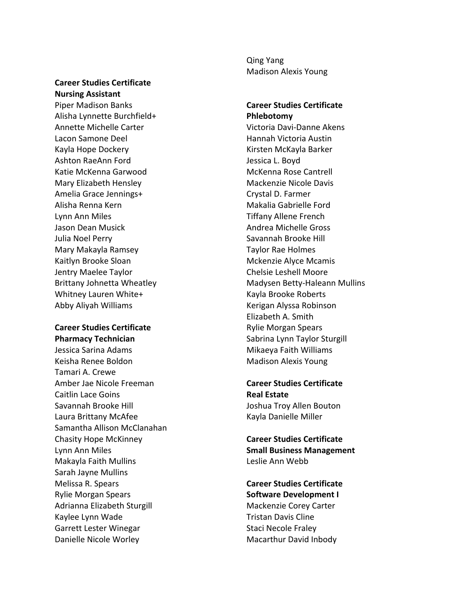### **Career Studies Certificate Nursing Assistant**

Piper Madison Banks Alisha Lynnette Burchfield+ Annette Michelle Carter Lacon Samone Deel Kayla Hope Dockery Ashton RaeAnn Ford Katie McKenna Garwood Mary Elizabeth Hensley Amelia Grace Jennings+ Alisha Renna Kern Lynn Ann Miles Jason Dean Musick Julia Noel Perry Mary Makayla Ramsey Kaitlyn Brooke Sloan Jentry Maelee Taylor Brittany Johnetta Wheatley Whitney Lauren White+ Abby Aliyah Williams

## **Career Studies Certificate Pharmacy Technician**

Jessica Sarina Adams Keisha Renee Boldon Tamari A. Crewe Amber Jae Nicole Freeman Caitlin Lace Goins Savannah Brooke Hill Laura Brittany McAfee Samantha Allison McClanahan Chasity Hope McKinney Lynn Ann Miles Makayla Faith Mullins Sarah Jayne Mullins Melissa R. Spears Rylie Morgan Spears Adrianna Elizabeth Sturgill Kaylee Lynn Wade Garrett Lester Winegar Danielle Nicole Worley

Qing Yang Madison Alexis Young

**Career Studies Certificate Phlebotomy** Victoria Davi-Danne Akens Hannah Victoria Austin Kirsten McKayla Barker Jessica L. Boyd McKenna Rose Cantrell Mackenzie Nicole Davis Crystal D. Farmer Makalia Gabrielle Ford Tiffany Allene French Andrea Michelle Gross Savannah Brooke Hill Taylor Rae Holmes Mckenzie Alyce Mcamis Chelsie Leshell Moore Madysen Betty-Haleann Mullins Kayla Brooke Roberts Kerigan Alyssa Robinson Elizabeth A. Smith Rylie Morgan Spears Sabrina Lynn Taylor Sturgill Mikaeya Faith Williams Madison Alexis Young

**Career Studies Certificate Real Estate** Joshua Troy Allen Bouton Kayla Danielle Miller

**Career Studies Certificate Small Business Management** Leslie Ann Webb

**Career Studies Certificate Software Development I** Mackenzie Corey Carter Tristan Davis Cline Staci Necole Fraley Macarthur David Inbody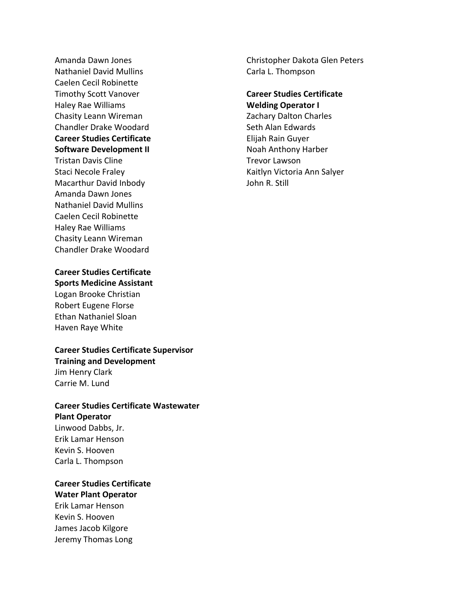Amanda Dawn Jones Nathaniel David Mullins Caelen Cecil Robinette Timothy Scott Vanover Haley Rae Williams Chasity Leann Wireman Chandler Drake Woodard **Career Studies Certificate Software Development II** Tristan Davis Cline Staci Necole Fraley Macarthur David Inbody Amanda Dawn Jones Nathaniel David Mullins Caelen Cecil Robinette Haley Rae Williams

# **Career Studies Certificate Sports Medicine Assistant**

Chasity Leann Wireman Chandler Drake Woodard

Logan Brooke Christian Robert Eugene Florse Ethan Nathaniel Sloan Haven Raye White

**Career Studies Certificate Supervisor Training and Development** Jim Henry Clark Carrie M. Lund

# **Career Studies Certificate Wastewater Plant Operator** Linwood Dabbs, Jr. Erik Lamar Henson Kevin S. Hooven Carla L. Thompson

# **Career Studies Certificate Water Plant Operator**

Erik Lamar Henson Kevin S. Hooven James Jacob Kilgore Jeremy Thomas Long Christopher Dakota Glen Peters Carla L. Thompson

#### **Career Studies Certificate Welding Operator I**

Zachary Dalton Charles Seth Alan Edwards Elijah Rain Guyer Noah Anthony Harber Trevor Lawson Kaitlyn Victoria Ann Salyer John R. Still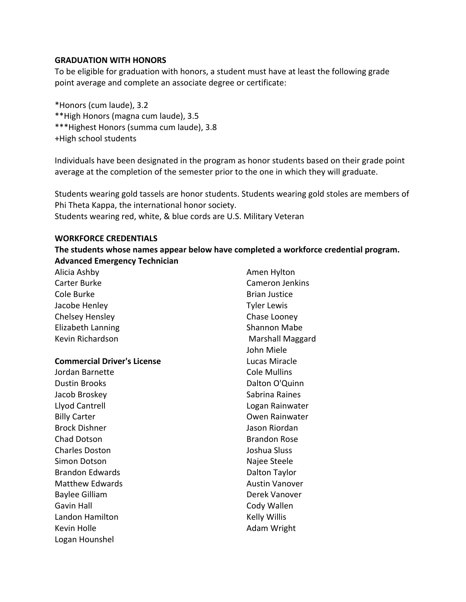#### **GRADUATION WITH HONORS**

To be eligible for graduation with honors, a student must have at least the following grade point average and complete an associate degree or certificate:

\*Honors (cum laude), 3.2 \*\*High Honors (magna cum laude), 3.5 \*\*\*Highest Honors (summa cum laude), 3.8 +High school students

Individuals have been designated in the program as honor students based on their grade point average at the completion of the semester prior to the one in which they will graduate.

Students wearing gold tassels are honor students. Students wearing gold stoles are members of Phi Theta Kappa, the international honor society. Students wearing red, white, & blue cords are U.S. Military Veteran

#### **WORKFORCE CREDENTIALS**

**The students whose names appear below have completed a workforce credential program. Advanced Emergency Technician**

| Alicia Ashby                       | Amen Hylton            |
|------------------------------------|------------------------|
| Carter Burke                       | <b>Cameron Jenkins</b> |
| Cole Burke                         | <b>Brian Justice</b>   |
| Jacobe Henley                      | <b>Tyler Lewis</b>     |
| Chelsey Hensley                    | Chase Looney           |
| Elizabeth Lanning                  | <b>Shannon Mabe</b>    |
| Kevin Richardson                   | Marshall Maggard       |
|                                    | John Miele             |
| <b>Commercial Driver's License</b> | Lucas Miracle          |
| Jordan Barnette                    | <b>Cole Mullins</b>    |
| <b>Dustin Brooks</b>               | Dalton O'Quinn         |
| Jacob Broskey                      | Sabrina Raines         |
| Llyod Cantrell                     | Logan Rainwater        |
| <b>Billy Carter</b>                | <b>Owen Rainwater</b>  |
| <b>Brock Dishner</b>               | Jason Riordan          |
| <b>Chad Dotson</b>                 | <b>Brandon Rose</b>    |
| <b>Charles Doston</b>              | Joshua Sluss           |
| Simon Dotson                       | Najee Steele           |
| <b>Brandon Edwards</b>             | Dalton Taylor          |
| <b>Matthew Edwards</b>             | <b>Austin Vanover</b>  |
| <b>Baylee Gilliam</b>              | Derek Vanover          |
| <b>Gavin Hall</b>                  | Cody Wallen            |
| Landon Hamilton                    | Kelly Willis           |
| Kevin Holle                        | Adam Wright            |
| Logan Hounshel                     |                        |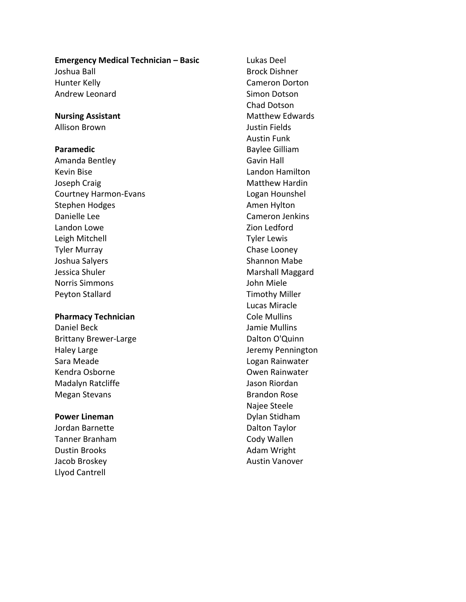# **Emergency Medical Technician – Basic** Joshua Ball Hunter Kelly Andrew Leonard

**Nursing Assistant** Allison Brown

#### **Paramedic**

Amanda Bentley Kevin Bise Joseph Craig Courtney Harmon-Evans Stephen Hodges Danielle Lee Landon Lowe Leigh Mitchell Tyler Murray Joshua Salyers Jessica Shuler Norris Simmons Peyton Stallard

#### **Pharmacy Technician**

Daniel Beck Brittany Brewer-Large Haley Large Sara Meade Kendra Osborne Madalyn Ratcliffe Megan Stevans

#### **Power Lineman**

Jordan Barnette Tanner Branham Dustin Brooks Jacob Broskey Llyod Cantrell

Lukas Deel Brock Dishner Cameron Dorton Simon Dotson Chad Dotson Matthew Edwards Justin Fields Austin Funk Baylee Gilliam Gavin Hall Landon Hamilton Matthew Hardin Logan Hounshel Amen Hylton Cameron Jenkins Zion Ledford Tyler Lewis Chase Looney Shannon Mabe Marshall Maggard John Miele Timothy Miller Lucas Miracle Cole Mullins Jamie Mullins Dalton O'Quinn Jeremy Pennington Logan Rainwater Owen Rainwater Jason Riordan Brandon Rose Najee Steele Dylan Stidham Dalton Taylor Cody Wallen Adam Wright Austin Vanover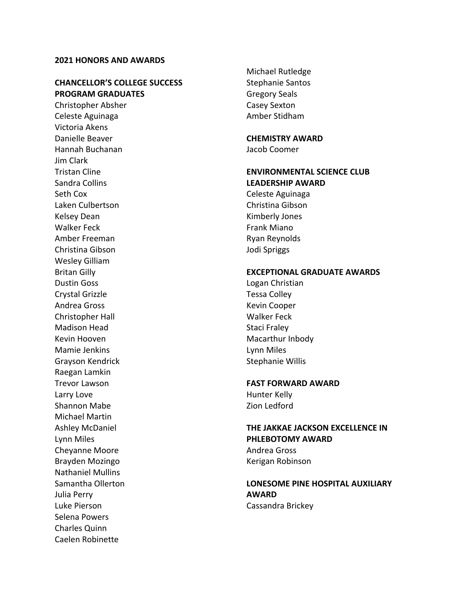#### **2021 HONORS AND AWARDS**

#### **CHANCELLOR'S COLLEGE SUCCESS PROGRAM GRADUATES**

Christopher Absher Celeste Aguinaga Victoria Akens Danielle Beaver Hannah Buchanan Jim Clark Tristan Cline Sandra Collins Seth Cox Laken Culbertson Kelsey Dean Walker Feck Amber Freeman Christina Gibson Wesley Gilliam Britan Gilly Dustin Goss Crystal Grizzle Andrea Gross Christopher Hall Madison Head Kevin Hooven Mamie Jenkins Grayson Kendrick Raegan Lamkin Trevor Lawson Larry Love Shannon Mabe Michael Martin Ashley McDaniel Lynn Miles Cheyanne Moore Brayden Mozingo Nathaniel Mullins Samantha Ollerton Julia Perry Luke Pierson Selena Powers Charles Quinn Caelen Robinette

Michael Rutledge Stephanie Santos Gregory Seals Casey Sexton Amber Stidham

# **CHEMISTRY AWARD**

Jacob Coomer

## **ENVIRONMENTAL SCIENCE CLUB LEADERSHIP AWARD**

Celeste Aguinaga Christina Gibson Kimberly Jones Frank Miano Ryan Reynolds Jodi Spriggs

#### **EXCEPTIONAL GRADUATE AWARDS**

Logan Christian Tessa Colley Kevin Cooper Walker Feck Staci Fraley Macarthur Inbody Lynn Miles Stephanie Willis

#### **FAST FORWARD AWARD**

Hunter Kelly Zion Ledford

# **THE JAKKAE JACKSON EXCELLENCE IN PHLEBOTOMY AWARD**

Andrea Gross Kerigan Robinson

## **LONESOME PINE HOSPITAL AUXILIARY AWARD** Cassandra Brickey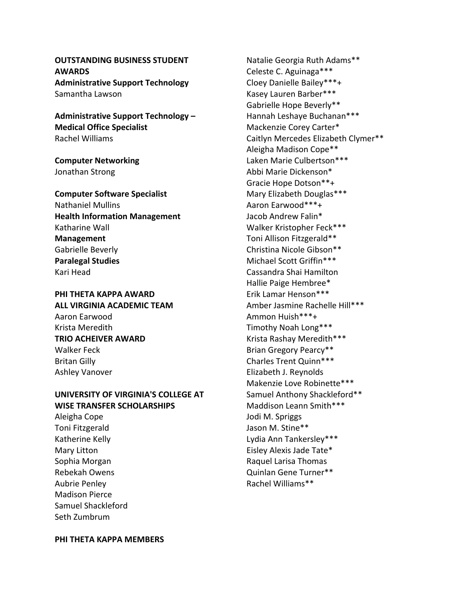**OUTSTANDING BUSINESS STUDENT AWARDS Administrative Support Technology** Samantha Lawson

**Administrative Support Technology – Medical Office Specialist** Rachel Williams

**Computer Networking** Jonathan Strong

**Computer Software Specialist** Nathaniel Mullins **Health Information Management** Katharine Wall **Management** Gabrielle Beverly **Paralegal Studies** Kari Head

**PHI THETA KAPPA AWARD ALL VIRGINIA ACADEMIC TEAM** Aaron Earwood Krista Meredith **TRIO ACHEIVER AWARD** Walker Feck Britan Gilly Ashley Vanover

**UNIVERSITY OF VIRGINIA'S COLLEGE AT WISE TRANSFER SCHOLARSHIPS**

Aleigha Cope Toni Fitzgerald Katherine Kelly Mary Litton Sophia Morgan Rebekah Owens Aubrie Penley Madison Pierce Samuel Shackleford Seth Zumbrum

Natalie Georgia Ruth Adams\*\* Celeste C. Aguinaga\*\*\* Cloey Danielle Bailey\*\*\*+ Kasey Lauren Barber\*\*\* Gabrielle Hope Beverly\*\* Hannah Leshaye Buchanan\*\*\* Mackenzie Corey Carter\* Caitlyn Mercedes Elizabeth Clymer\*\* Aleigha Madison Cope\*\* Laken Marie Culbertson\*\*\* Abbi Marie Dickenson\* Gracie Hope Dotson\*\*+ Mary Elizabeth Douglas\*\*\* Aaron Earwood\*\*\*+ Jacob Andrew Falin\* Walker Kristopher Feck\*\*\* Toni Allison Fitzgerald\*\* Christina Nicole Gibson\*\* Michael Scott Griffin\*\*\* Cassandra Shai Hamilton Hallie Paige Hembree\* Erik Lamar Henson\*\*\* Amber Jasmine Rachelle Hill\*\*\* Ammon Huish\*\*\*+ Timothy Noah Long\*\*\* Krista Rashay Meredith\*\*\* Brian Gregory Pearcy\*\* Charles Trent Quinn\*\*\* Elizabeth J. Reynolds Makenzie Love Robinette\*\*\* Samuel Anthony Shackleford\*\* Maddison Leann Smith\*\*\* Jodi M. Spriggs Jason M. Stine\*\* Lydia Ann Tankersley\*\*\* Eisley Alexis Jade Tate\* Raquel Larisa Thomas Quinlan Gene Turner\*\*

Rachel Williams\*\*

**PHI THETA KAPPA MEMBERS**